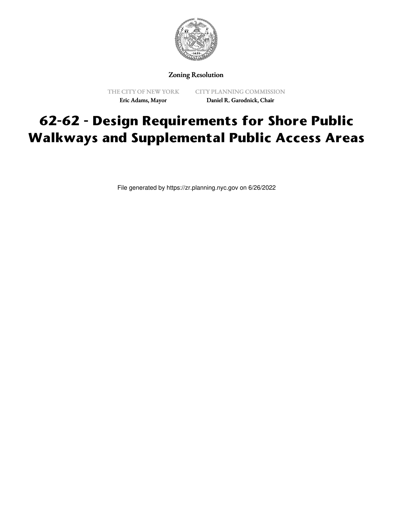

Zoning Resolution

THE CITY OF NEW YORK Eric Adams, Mayor

CITY PLANNING COMMISSION Daniel R. Garodnick, Chair

## **62-62 - Design Requirements for Shore Public Walkways and Supplemental Public Access Areas**

File generated by https://zr.planning.nyc.gov on 6/26/2022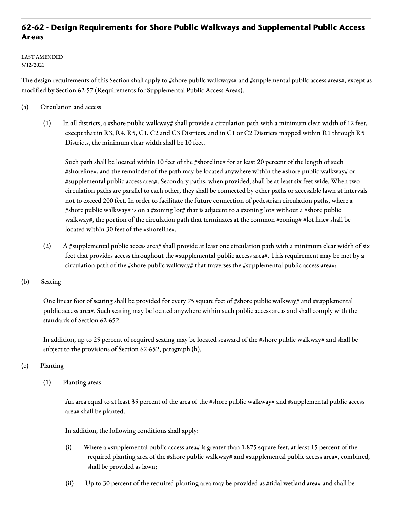## **62-62 - Design Requirements for Shore Public Walkways and Supplemental Public Access Areas**

LAST AMENDED 5/12/2021

The design requirements of this Section shall apply to #shore public walkways# and #supplemental public access areas#, except as modified by Section 62-57 (Requirements for Supplemental Public Access Areas).

- (a) Circulation and access
	- (1) In all districts, a #shore public walkway# shall provide a circulation path with a minimum clear width of 12 feet, except that in R3, R4, R5, C1, C2 and C3 Districts, and in C1 or C2 Districts mapped within R1 through R5 Districts, the minimum clear width shall be 10 feet.

Such path shall be located within 10 feet of the #shoreline# for at least 20 percent of the length of such #shoreline#, and the remainder of the path may be located anywhere within the #shore public walkway# or #supplemental public access area#. Secondary paths, when provided, shall be at least six feet wide. When two circulation paths are parallel to each other, they shall be connected by other paths or accessible lawn at intervals not to exceed 200 feet. In order to facilitate the future connection of pedestrian circulation paths, where a #shore public walkway# is on a #zoning lot# that is adjacent to a #zoning lot# without a #shore public walkway#, the portion of the circulation path that terminates at the common #zoning# #lot line# shall be located within 30 feet of the #shoreline#.

- (2) A #supplemental public access area# shall provide at least one circulation path with a minimum clear width of six feet that provides access throughout the #supplemental public access area#. This requirement may be met by a circulation path of the #shore public walkway# that traverses the #supplemental public access area#;
- (b) Seating

One linear foot of seating shall be provided for every 75 square feet of #shore public walkway# and #supplemental public access area#. Such seating may be located anywhere within such public access areas and shall comply with the standards of Section 62-652.

In addition, up to 25 percent of required seating may be located seaward of the #shore public walkway# and shall be subject to the provisions of Section 62-652, paragraph (h).

- (c) Planting
	- (1) Planting areas

An area equal to at least 35 percent of the area of the #shore public walkway# and #supplemental public access area# shall be planted.

In addition, the following conditions shall apply:

- (i) Where a #supplemental public access area# is greater than 1,875 square feet, at least 15 percent of the required planting area of the #shore public walkway# and #supplemental public access area#, combined, shall be provided as lawn;
- (ii) Up to 30 percent of the required planting area may be provided as #tidal wetland area# and shall be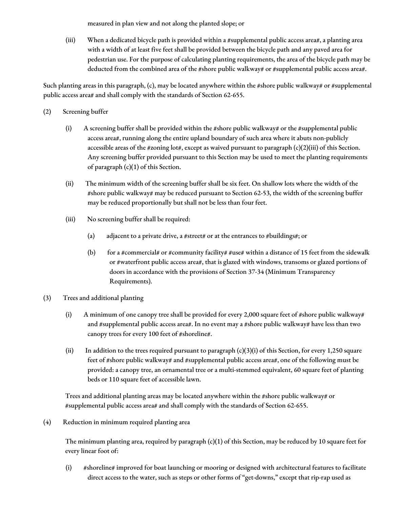measured in plan view and not along the planted slope; or

(iii) When a dedicated bicycle path is provided within a #supplemental public access area#, a planting area with a width of at least five feet shall be provided between the bicycle path and any paved area for pedestrian use. For the purpose of calculating planting requirements, the area of the bicycle path may be deducted from the combined area of the #shore public walkway# or #supplemental public access area#.

Such planting areas in this paragraph,  $(c)$ , may be located anywhere within the #shore public walkway# or #supplemental public access area# and shall comply with the standards of Section 62-655.

- (2) Screening buffer
	- (i) A screening buffer shall be provided within the #shore public walkway# or the #supplemental public access area#, running along the entire upland boundary of such area where it abuts non-publicly accessible areas of the #zoning lot#, except as waived pursuant to paragraph (c)(2)(iii) of this Section. Any screening buffer provided pursuant to this Section may be used to meet the planting requirements of paragraph (c)(1) of this Section.
	- (ii) The minimum width of the screening buffer shall be six feet. On shallow lots where the width of the #shore public walkway# may be reduced pursuant to Section 62-53, the width of the screening buffer may be reduced proportionally but shall not be less than four feet.
	- (iii) No screening buffer shall be required:
		- (a) adjacent to a private drive, a #street# or at the entrances to #buildings#; or
		- (b) for a #commercial# or #community facility# #use# within a distance of 15 feet from the sidewalk or #waterfront public access area#, that is glazed with windows, transoms or glazed portions of doors in accordance with the provisions of Section 37-34 (Minimum Transparency Requirements).
- (3) Trees and additional planting
	- (i) A minimum of one canopy tree shall be provided for every 2,000 square feet of #shore public walkway# and #supplemental public access area#. In no event may a #shore public walkway# have less than two canopy trees for every 100 feet of #shoreline#.
	- (ii) In addition to the trees required pursuant to paragraph  $(c)(3)(i)$  of this Section, for every 1,250 square feet of #shore public walkway# and #supplemental public access area#, one of the following must be provided: a canopy tree, an ornamental tree or a multi-stemmed equivalent, 60 square feet of planting beds or 110 square feet of accessible lawn.

Trees and additional planting areas may be located anywhere within the #shore public walkway# or #supplemental public access area# and shall comply with the standards of Section 62-655.

(4) Reduction in minimum required planting area

The minimum planting area, required by paragraph (c)(1) of this Section, may be reduced by 10 square feet for every linear foot of:

(i) #shoreline# improved for boat launching or mooring or designed with architectural features to facilitate direct access to the water, such as steps or other forms of "get-downs," except that rip-rap used as